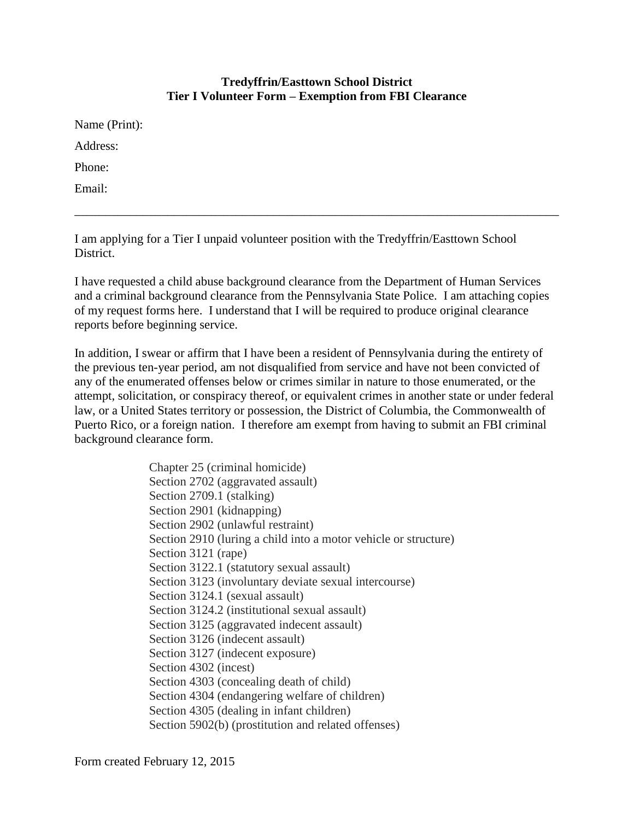## **Tredyffrin/Easttown School District Tier I Volunteer Form – Exemption from FBI Clearance**

Name (Print): Address: Phone: Email:

I am applying for a Tier I unpaid volunteer position with the Tredyffrin/Easttown School District.

I have requested a child abuse background clearance from the Department of Human Services and a criminal background clearance from the Pennsylvania State Police. I am attaching copies of my request forms here. I understand that I will be required to produce original clearance reports before beginning service.

\_\_\_\_\_\_\_\_\_\_\_\_\_\_\_\_\_\_\_\_\_\_\_\_\_\_\_\_\_\_\_\_\_\_\_\_\_\_\_\_\_\_\_\_\_\_\_\_\_\_\_\_\_\_\_\_\_\_\_\_\_\_\_\_\_\_\_\_\_\_\_\_\_\_\_\_\_\_

In addition, I swear or affirm that I have been a resident of Pennsylvania during the entirety of the previous ten-year period, am not disqualified from service and have not been convicted of any of the enumerated offenses below or crimes similar in nature to those enumerated, or the attempt, solicitation, or conspiracy thereof, or equivalent crimes in another state or under federal law, or a United States territory or possession, the District of Columbia, the Commonwealth of Puerto Rico, or a foreign nation. I therefore am exempt from having to submit an FBI criminal background clearance form.

> Chapter 25 (criminal homicide) Section 2702 (aggravated assault) Section 2709.1 (stalking) Section 2901 (kidnapping) Section 2902 (unlawful restraint) Section 2910 (luring a child into a motor vehicle or structure) Section 3121 (rape) Section 3122.1 (statutory sexual assault) Section 3123 (involuntary deviate sexual intercourse) Section 3124.1 (sexual assault) Section 3124.2 (institutional sexual assault) Section 3125 (aggravated indecent assault) Section 3126 (indecent assault) Section 3127 (indecent exposure) Section 4302 (incest) Section 4303 (concealing death of child) Section 4304 (endangering welfare of children) Section 4305 (dealing in infant children) Section 5902(b) (prostitution and related offenses)